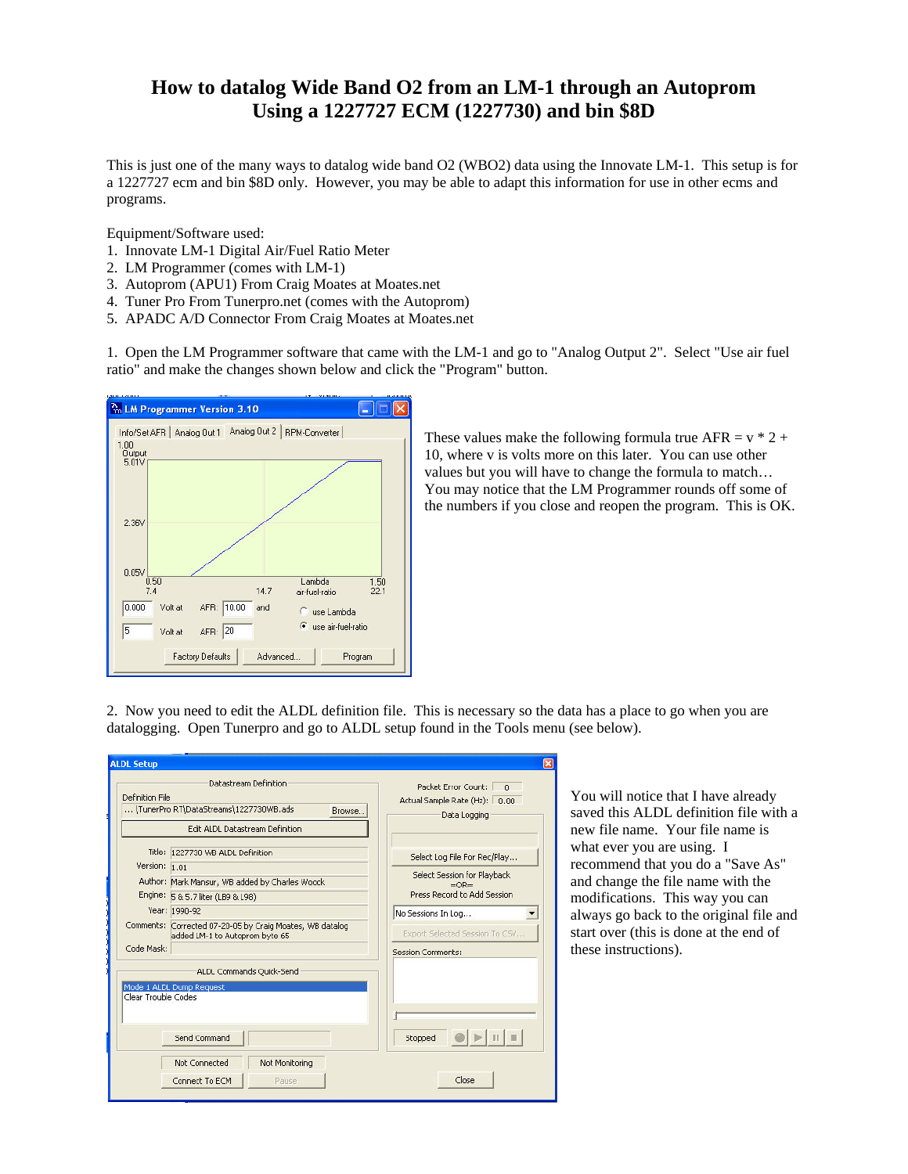## **How to datalog Wide Band O2 from an LM-1 through an Autoprom Using a 1227727 ECM (1227730) and bin \$8D**

This is just one of the many ways to datalog wide band O2 (WBO2) data using the Innovate LM-1. This setup is for a 1227727 ecm and bin \$8D only. However, you may be able to adapt this information for use in other ecms and programs.

Equipment/Software used:

- 1. Innovate LM-1 Digital Air/Fuel Ratio Meter
- 2. LM Programmer (comes with LM-1)
- 3. Autoprom (APU1) From Craig Moates at Moates.net
- 4. Tuner Pro From Tunerpro.net (comes with the Autoprom)
- 5. APADC A/D Connector From Craig Moates at Moates.net

1. Open the LM Programmer software that came with the LM-1 and go to "Analog Output 2". Select "Use air fuel ratio" and make the changes shown below and click the "Program" button.



These values make the following formula true AFR =  $v * 2 +$ 10, where v is volts more on this later. You can use other values but you will have to change the formula to match… You may notice that the LM Programmer rounds off some of the numbers if you close and reopen the program. This is OK.

2. Now you need to edit the ALDL definition file. This is necessary so the data has a place to go when you are datalogging. Open Tunerpro and go to ALDL setup found in the Tools menu (see below).

| Definition File     | Datastream Definition                                                                      | Packet Error Count: n<br>Actual Sample Rate (Hz): 0.00                                                                           |  |  |
|---------------------|--------------------------------------------------------------------------------------------|----------------------------------------------------------------------------------------------------------------------------------|--|--|
|                     | \TunerPro RT\DataStreams\1227730WB.ads<br><b>Browse</b>                                    | Data Logging                                                                                                                     |  |  |
|                     | Edit ALDL Datastream Definition                                                            |                                                                                                                                  |  |  |
|                     | Title: 1227730 WB ALDL Definition                                                          | Select Log File For Rec/Play                                                                                                     |  |  |
| Version: 1.01       |                                                                                            | Select Session for Playback<br>$=$ OR $=$<br>Press Record to Add Session<br>No Sessions In Log<br>Export Selected Session To CSV |  |  |
|                     | Author: Mark Mansur, WB added by Charles Woock                                             |                                                                                                                                  |  |  |
|                     | Engine: 5 & 5.7 liter (LB9 & L98)                                                          |                                                                                                                                  |  |  |
|                     | Year: 1990-92                                                                              |                                                                                                                                  |  |  |
|                     | Comments: Corrected 07-20-05 by Craig Moates, WB datalog<br>added LM-1 to Autoprom byte 65 |                                                                                                                                  |  |  |
| Code Mask:          |                                                                                            | <b>Session Comments:</b>                                                                                                         |  |  |
|                     | ALDL Commands Quick-Send                                                                   |                                                                                                                                  |  |  |
| Clear Trouble Codes | Mode 1 ALDL Dump Request                                                                   |                                                                                                                                  |  |  |
|                     |                                                                                            |                                                                                                                                  |  |  |
|                     | Send Command                                                                               | Stopped                                                                                                                          |  |  |
|                     | Not Connected<br>Not Monitoring                                                            |                                                                                                                                  |  |  |
|                     | Connect To ECM<br>Pause                                                                    | Close                                                                                                                            |  |  |

You will notice that I have already saved this ALDL definition file with a new file name. Your file name is what ever you are using. I recommend that you do a "Save As" and change the file name with the modifications. This way you can always go back to the original file and start over (this is done at the end of these instructions).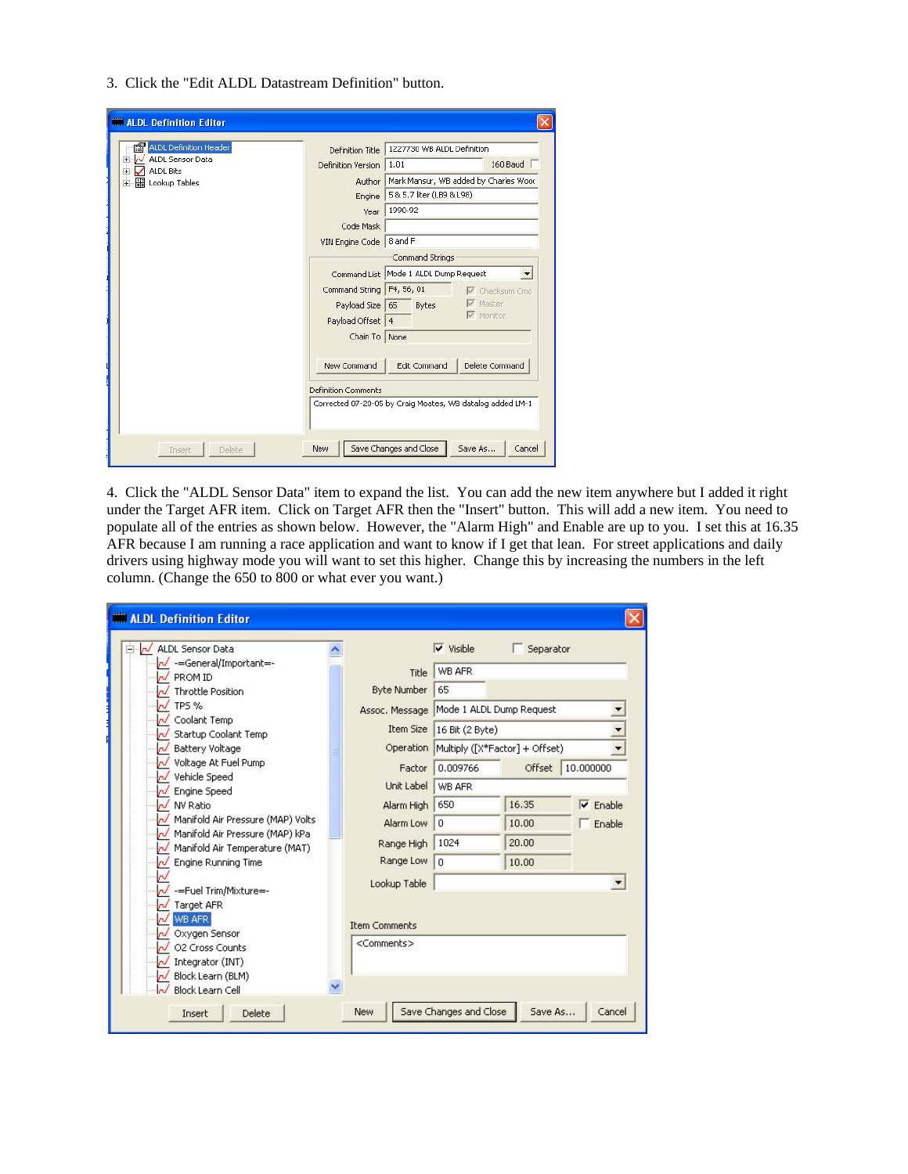3. Click the "Edit ALDL Datastream Definition" button.

| <b>ALDL Definition Editor</b>                                   |                            |                                       |                                                           |  |  |
|-----------------------------------------------------------------|----------------------------|---------------------------------------|-----------------------------------------------------------|--|--|
| <b>ALDL Definition Header</b>                                   | Definition Title           | 1227730 WB ALDL Definition            |                                                           |  |  |
| <b>ALDL Sensor Data</b><br>$+$<br>نط<br><b>ALDL Bits</b><br>$+$ | Definition Version         | 1.01                                  | 160 Baud                                                  |  |  |
| <b>B</b> Lookup Tables<br>$+$                                   | Author                     | Mark Mansur, WB added by Charles Wood |                                                           |  |  |
|                                                                 | Engine                     | 5 & 5.7 liter (LB9 & L98)             |                                                           |  |  |
|                                                                 | Year                       | 1990-92                               |                                                           |  |  |
|                                                                 | Code Mask                  |                                       |                                                           |  |  |
|                                                                 | VIN Engine Code            | 8 and F                               |                                                           |  |  |
|                                                                 |                            | Command Strings                       |                                                           |  |  |
|                                                                 | Command String             | Command List Mode 1 ALDL Dump Request |                                                           |  |  |
|                                                                 |                            | F4, 56, 01                            | <b>V</b> Checksum Cmd                                     |  |  |
|                                                                 | Payload Size               | 65<br>Bytes                           | Master                                                    |  |  |
|                                                                 | Payload Offset 4           |                                       | $\nabla$ Monitor                                          |  |  |
|                                                                 | Chain To None              |                                       |                                                           |  |  |
|                                                                 |                            |                                       |                                                           |  |  |
|                                                                 | New Command                | <b>Edit Command</b>                   | Delete Command                                            |  |  |
|                                                                 | <b>Definition Comments</b> |                                       |                                                           |  |  |
|                                                                 |                            |                                       | Corrected 07-20-05 by Craig Moates, WB datalog added LM-1 |  |  |
| Delete<br>Insert                                                | New                        | Save Changes and Close                | Save As<br>Cancel                                         |  |  |

4. Click the "ALDL Sensor Data" item to expand the list. You can add the new item anywhere but I added it right under the Target AFR item. Click on Target AFR then the "Insert" button. This will add a new item. You need to populate all of the entries as shown below. However, the "Alarm High" and Enable are up to you. I set this at 16.35 AFR because I am running a race application and want to know if I get that lean. For street applications and daily drivers using highway mode you will want to set this higher. Change this by increasing the numbers in the left column. (Change the 650 to 800 or what ever you want.)

| ALDL Sensor Data<br>rJ.                                        |  |                                                                                                        | $\triangledown$ Visible | Separator |                  |
|----------------------------------------------------------------|--|--------------------------------------------------------------------------------------------------------|-------------------------|-----------|------------------|
| ~/ -=General/Important=-                                       |  | <b>Title</b>                                                                                           | WB AFR                  |           |                  |
| PROM ID                                                        |  |                                                                                                        |                         |           |                  |
| <b>Throttle Position</b>                                       |  | <b>Byte Number</b>                                                                                     | 65                      |           |                  |
| TPS %                                                          |  | Assoc. Message Mode 1 ALDL Dump Request<br>16 Bit (2 Byte)<br>Operation Multiply ([X*Factor] + Offset) |                         |           |                  |
| Coolant Temp<br>Startup Coolant Temp<br><b>Battery Voltage</b> |  |                                                                                                        |                         |           | <b>Item Size</b> |
|                                                                |  |                                                                                                        |                         |           |                  |
| Vehicle Speed                                                  |  | Factor                                                                                                 | 0.009766                | Offset    | 10,000000        |
| Engine Speed<br>N                                              |  | Unit Label                                                                                             | WB AFR                  |           |                  |
| NV Ratio<br>пI                                                 |  | Alarm High                                                                                             | 650                     | 16.35     | $\nabla$ Enable  |
| Manifold Air Pressure (MAP) Volts                              |  | Alarm Low                                                                                              | $\overline{0}$          | 10.00     | Enable           |
| Manifold Air Pressure (MAP) kPa<br>rJ.                         |  |                                                                                                        | 1024                    | 20.00     |                  |
| Manifold Air Temperature (MAT)                                 |  | Range High                                                                                             |                         |           |                  |
| <b>Engine Running Time</b>                                     |  | Range Low                                                                                              | $\overline{0}$          | 10.00     |                  |
|                                                                |  | Lookup Table                                                                                           |                         |           |                  |
| -=Fuel Trim/Mixture=-                                          |  |                                                                                                        |                         |           |                  |
| Target AFR<br>WB AFR                                           |  |                                                                                                        |                         |           |                  |
| Oxygen Sensor                                                  |  | <b>Item Comments</b>                                                                                   |                         |           |                  |
| O2 Cross Counts                                                |  | <comments></comments>                                                                                  |                         |           |                  |
| Integrator (INT)                                               |  |                                                                                                        |                         |           |                  |
| Block Learn (BLM)<br>пI                                        |  |                                                                                                        |                         |           |                  |
| Block Learn Cell                                               |  |                                                                                                        |                         |           |                  |